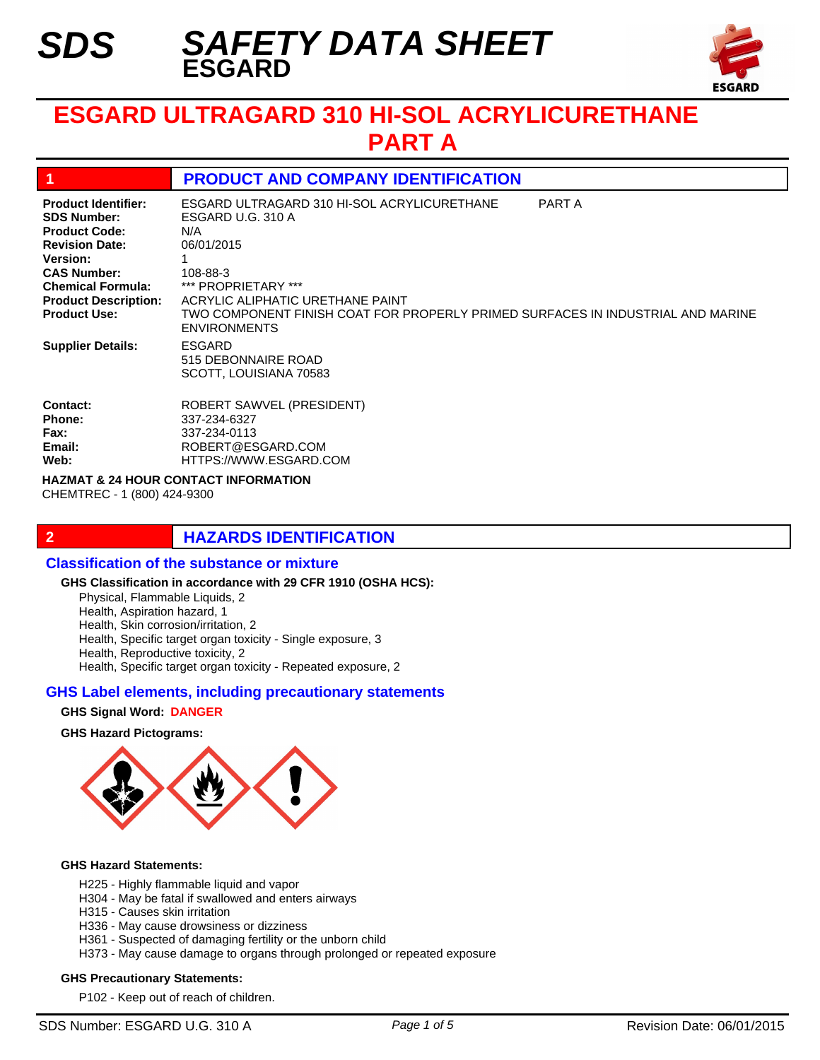*SDS*



# **ESGARD ULTRAGARD 310 HI-SOL ACRYLICURETHANE PART A**

# **1 PRODUCT AND COMPANY IDENTIFICATION**

| <b>Product Identifier:</b><br><b>SDS Number:</b><br><b>Product Code:</b><br><b>Revision Date:</b><br><b>Version:</b><br><b>CAS Number:</b><br><b>Chemical Formula:</b><br><b>Product Description:</b><br><b>Product Use:</b> | ESGARD ULTRAGARD 310 HI-SOL ACRYLICURETHANE<br>ESGARD U.G. 310 A<br>N/A<br>06/01/2015<br>108-88-3<br>*** PROPRIETARY ***<br>ACRYLIC ALIPHATIC URETHANE PAINT<br>TWO COMPONENT FINISH COAT FOR PROPERLY PRIMED SURFACES IN INDUSTRIAL AND MARINE<br><b>ENVIRONMENTS</b> | PART A |
|------------------------------------------------------------------------------------------------------------------------------------------------------------------------------------------------------------------------------|------------------------------------------------------------------------------------------------------------------------------------------------------------------------------------------------------------------------------------------------------------------------|--------|
| <b>Supplier Details:</b>                                                                                                                                                                                                     | ESGARD<br>515 DEBONNAIRE ROAD<br>SCOTT, LOUISIANA 70583                                                                                                                                                                                                                |        |
| <b>Contact:</b><br><b>Phone:</b><br><b>Fax:</b><br>Email:<br>Web:                                                                                                                                                            | <b>ROBERT SAWVEL (PRESIDENT)</b><br>337-234-6327<br>337-234-0113<br>ROBERT@ESGARD.COM<br>HTTPS://WWW.ESGARD.COM                                                                                                                                                        |        |

**HAZMAT & 24 HOUR CONTACT INFORMATION** 

CHEMTREC - 1 (800) 424-9300

# **2 HAZARDS IDENTIFICATION**

## **Classification of the substance or mixture**

#### **GHS Classification in accordance with 29 CFR 1910 (OSHA HCS):**

Physical, Flammable Liquids, 2 Health, Aspiration hazard, 1

Health, Skin corrosion/irritation, 2

Health, Specific target organ toxicity - Single exposure, 3

Health, Reproductive toxicity, 2

Health, Specific target organ toxicity - Repeated exposure, 2

## **GHS Label elements, including precautionary statements**

## **GHS Signal Word: DANGER**

## **GHS Hazard Pictograms:**



### **GHS Hazard Statements:**

- H225 Highly flammable liquid and vapor
- H304 May be fatal if swallowed and enters airways
- H315 Causes skin irritation
- H336 May cause drowsiness or dizziness
- H361 Suspected of damaging fertility or the unborn child
- H373 May cause damage to organs through prolonged or repeated exposure

### **GHS Precautionary Statements:**

P102 - Keep out of reach of children.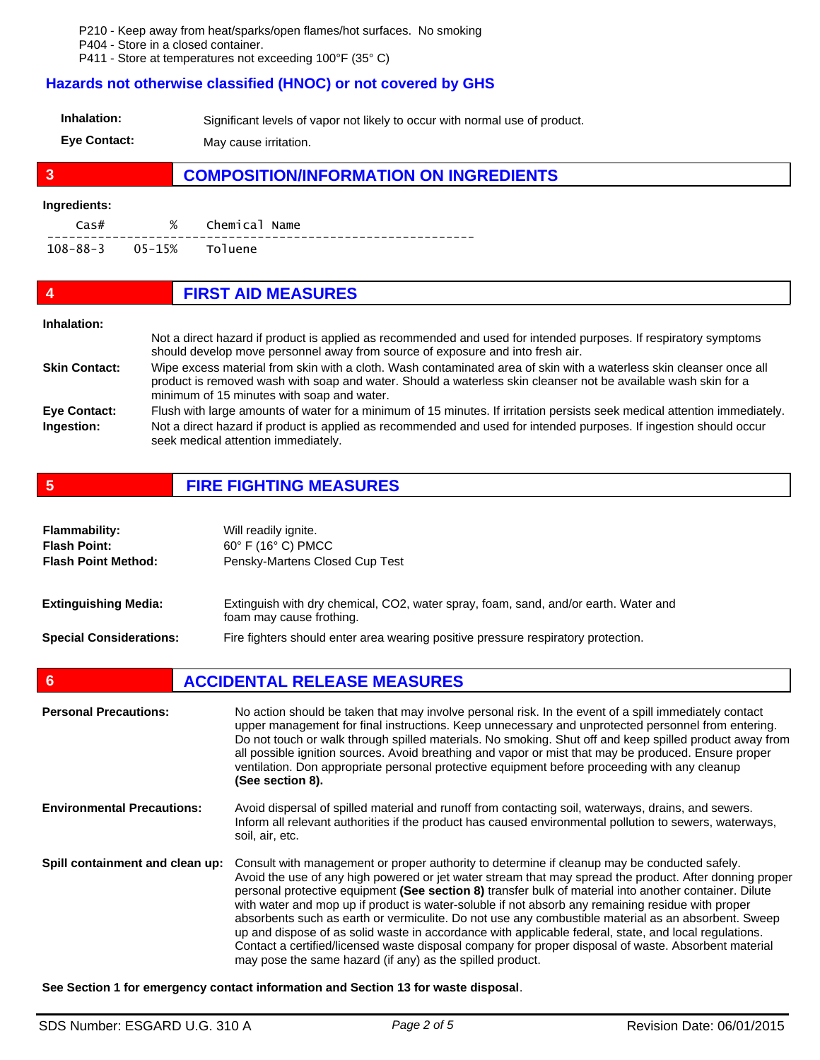P210 - Keep away from heat/sparks/open flames/hot surfaces. No smoking

P404 - Store in a closed container.

P411 - Store at temperatures not exceeding 100°F (35° C)

## **Hazards not otherwise classified (HNOC) or not covered by GHS**

| Inhalation:                 | Significant levels of vapor not likely to occur with normal use of product. |
|-----------------------------|-----------------------------------------------------------------------------|
| $E_{1/2}$ $C_{2}$ $D_{3/2}$ | $\blacksquare$                                                              |

**Eye Contact:** May cause irritation.

# **3 COMPOSITION/INFORMATION ON INGREDIENTS**

# **Ingredients:**

| Cas#                    | % Chemical Name |
|-------------------------|-----------------|
| 108-88-3 05-15% Toluene |                 |

| 4                    | <b>FIRST AID MEASURES</b>                                                                                                                                                                                                                                                           |
|----------------------|-------------------------------------------------------------------------------------------------------------------------------------------------------------------------------------------------------------------------------------------------------------------------------------|
| Inhalation:          |                                                                                                                                                                                                                                                                                     |
|                      | Not a direct hazard if product is applied as recommended and used for intended purposes. If respiratory symptoms<br>should develop move personnel away from source of exposure and into fresh air.                                                                                  |
| <b>Skin Contact:</b> | Wipe excess material from skin with a cloth. Wash contaminated area of skin with a waterless skin cleanser once all<br>product is removed wash with soap and water. Should a waterless skin cleanser not be available wash skin for a<br>minimum of 15 minutes with soap and water. |
| <b>Eye Contact:</b>  | Flush with large amounts of water for a minimum of 15 minutes. If irritation persists seek medical attention immediately.                                                                                                                                                           |
| Ingestion:           | Not a direct hazard if product is applied as recommended and used for intended purposes. If ingestion should occur<br>seek medical attention immediately.                                                                                                                           |

**5 FIRE FIGHTING MEASURES**

| <b>Flammability:</b><br><b>Flash Point:</b><br><b>Flash Point Method:</b> | Will readily ignite.<br>$60^\circ$ F (16 $^\circ$ C) PMCC<br>Pensky-Martens Closed Cup Test                     |
|---------------------------------------------------------------------------|-----------------------------------------------------------------------------------------------------------------|
| <b>Extinguishing Media:</b>                                               | Extinguish with dry chemical, CO2, water spray, foam, sand, and/or earth. Water and<br>foam may cause frothing. |
| <b>Special Considerations:</b>                                            | Fire fighters should enter area wearing positive pressure respiratory protection.                               |

**6 ACCIDENTAL RELEASE MEASURES** 

| <b>Personal Precautions:</b>      | No action should be taken that may involve personal risk. In the event of a spill immediately contact<br>upper management for final instructions. Keep unnecessary and unprotected personnel from entering.<br>Do not touch or walk through spilled materials. No smoking. Shut off and keep spilled product away from<br>all possible ignition sources. Avoid breathing and vapor or mist that may be produced. Ensure proper<br>ventilation. Don appropriate personal protective equipment before proceeding with any cleanup<br>(See section 8).                                                                                                                                                                                                                                                         |
|-----------------------------------|-------------------------------------------------------------------------------------------------------------------------------------------------------------------------------------------------------------------------------------------------------------------------------------------------------------------------------------------------------------------------------------------------------------------------------------------------------------------------------------------------------------------------------------------------------------------------------------------------------------------------------------------------------------------------------------------------------------------------------------------------------------------------------------------------------------|
| <b>Environmental Precautions:</b> | Avoid dispersal of spilled material and runoff from contacting soil, waterways, drains, and sewers.<br>Inform all relevant authorities if the product has caused environmental pollution to sewers, waterways,<br>soil, air, etc.                                                                                                                                                                                                                                                                                                                                                                                                                                                                                                                                                                           |
| Spill containment and clean up:   | Consult with management or proper authority to determine if cleanup may be conducted safely.<br>Avoid the use of any high powered or jet water stream that may spread the product. After donning proper<br>personal protective equipment (See section 8) transfer bulk of material into another container. Dilute<br>with water and mop up if product is water-soluble if not absorb any remaining residue with proper<br>absorbents such as earth or vermiculite. Do not use any combustible material as an absorbent. Sweep<br>up and dispose of as solid waste in accordance with applicable federal, state, and local regulations.<br>Contact a certified/licensed waste disposal company for proper disposal of waste. Absorbent material<br>may pose the same hazard (if any) as the spilled product. |

**See Section 1 for emergency contact information and Section 13 for waste disposal**.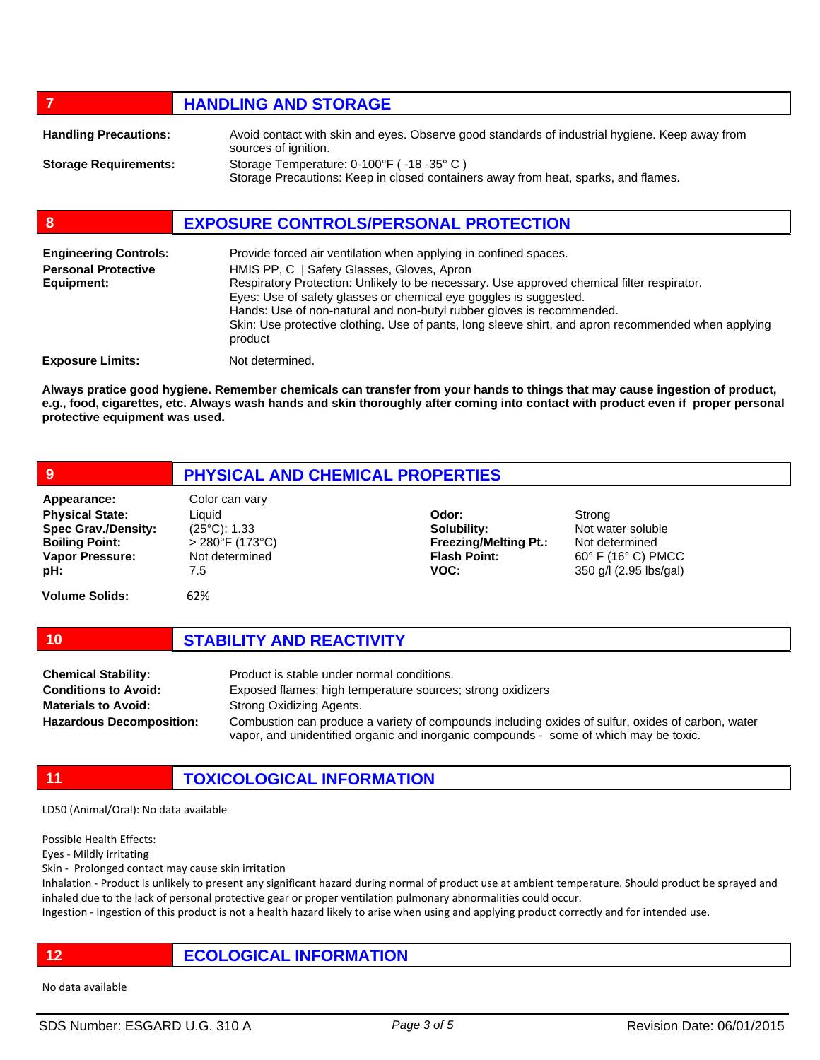# *HANDLING AND STORAGE*

| <b>Handling Precautions:</b> | Avoid contact with skin and eyes. Observe good standards of industrial hygiene. Keep away from<br>sources of ignition.        |
|------------------------------|-------------------------------------------------------------------------------------------------------------------------------|
| <b>Storage Requirements:</b> | Storage Temperature: 0-100°F (-18-35°C)<br>Storage Precautions: Keep in closed containers away from heat, sparks, and flames. |

# **8 EXPOSURE CONTROLS/PERSONAL PROTECTION**

| <b>Engineering Controls:</b><br><b>Personal Protective</b><br>Equipment: | Provide forced air ventilation when applying in confined spaces.<br>HMIS PP, C   Safety Glasses, Gloves, Apron<br>Respiratory Protection: Unlikely to be necessary. Use approved chemical filter respirator.<br>Eyes: Use of safety glasses or chemical eye goggles is suggested.<br>Hands: Use of non-natural and non-butyl rubber gloves is recommended.<br>Skin: Use protective clothing. Use of pants, long sleeve shirt, and apron recommended when applying<br>product |
|--------------------------------------------------------------------------|------------------------------------------------------------------------------------------------------------------------------------------------------------------------------------------------------------------------------------------------------------------------------------------------------------------------------------------------------------------------------------------------------------------------------------------------------------------------------|
| <b>Exposure Limits:</b>                                                  | Not determined.                                                                                                                                                                                                                                                                                                                                                                                                                                                              |

**Always pratice good hygiene. Remember chemicals can transfer from your hands to things that may cause ingestion of product, e.g., food, cigarettes, etc. Always wash hands and skin thoroughly after coming into contact with product even if proper personal protective equipment was used.** 

| 9                                                                                                                             | PHYSICAL AND CHEMICAL PROPERTIES                                                                         |                                                                                     |                                                                                                                  |
|-------------------------------------------------------------------------------------------------------------------------------|----------------------------------------------------------------------------------------------------------|-------------------------------------------------------------------------------------|------------------------------------------------------------------------------------------------------------------|
| Appearance:<br><b>Physical State:</b><br><b>Spec Grav./Density:</b><br><b>Boiling Point:</b><br><b>Vapor Pressure:</b><br>pH: | Color can vary<br>Liquid<br>$(25^{\circ}C)$ : 1.33<br>$> 280^{\circ}$ F (173°C)<br>Not determined<br>7.5 | Odor:<br>Solubility:<br><b>Freezing/Melting Pt.:</b><br><b>Flash Point:</b><br>VOC: | Strong<br>Not water soluble<br>Not determined<br>$60^{\circ}$ F (16 $^{\circ}$ C) PMCC<br>350 g/l (2.95 lbs/gal) |
| <b>Volume Solids:</b>                                                                                                         | 62%                                                                                                      |                                                                                     |                                                                                                                  |
| 10                                                                                                                            | <b>STABILITY AND REACTIVITY</b>                                                                          |                                                                                     |                                                                                                                  |
| Chamical Stability:                                                                                                           | Product is stable under normal conditions                                                                |                                                                                     |                                                                                                                  |

| <b>Chemical Stability:</b>      | Product is stable under normal conditions.                                                                                                                                                 |
|---------------------------------|--------------------------------------------------------------------------------------------------------------------------------------------------------------------------------------------|
| <b>Conditions to Avoid:</b>     | Exposed flames; high temperature sources; strong oxidizers                                                                                                                                 |
| <b>Materials to Avoid:</b>      | Strong Oxidizing Agents.                                                                                                                                                                   |
| <b>Hazardous Decomposition:</b> | Combustion can produce a variety of compounds including oxides of sulfur, oxides of carbon, water<br>vapor, and unidentified organic and inorganic compounds - some of which may be toxic. |

**11 TOXICOLOGICAL INFORMATION**

LD50 (Animal/Oral): No data available

Possible Health Effects:

Eyes - Mildly irritating

Skin - Prolonged contact may cause skin irritation

Inhalation - Product is unlikely to present any significant hazard during normal of product use at ambient temperature. Should product be sprayed and inhaled due to the lack of personal protective gear or proper ventilation pulmonary abnormalities could occur.

Ingestion - Ingestion of this product is not a health hazard likely to arise when using and applying product correctly and for intended use.

# **12 ECOLOGICAL INFORMATION**

No data available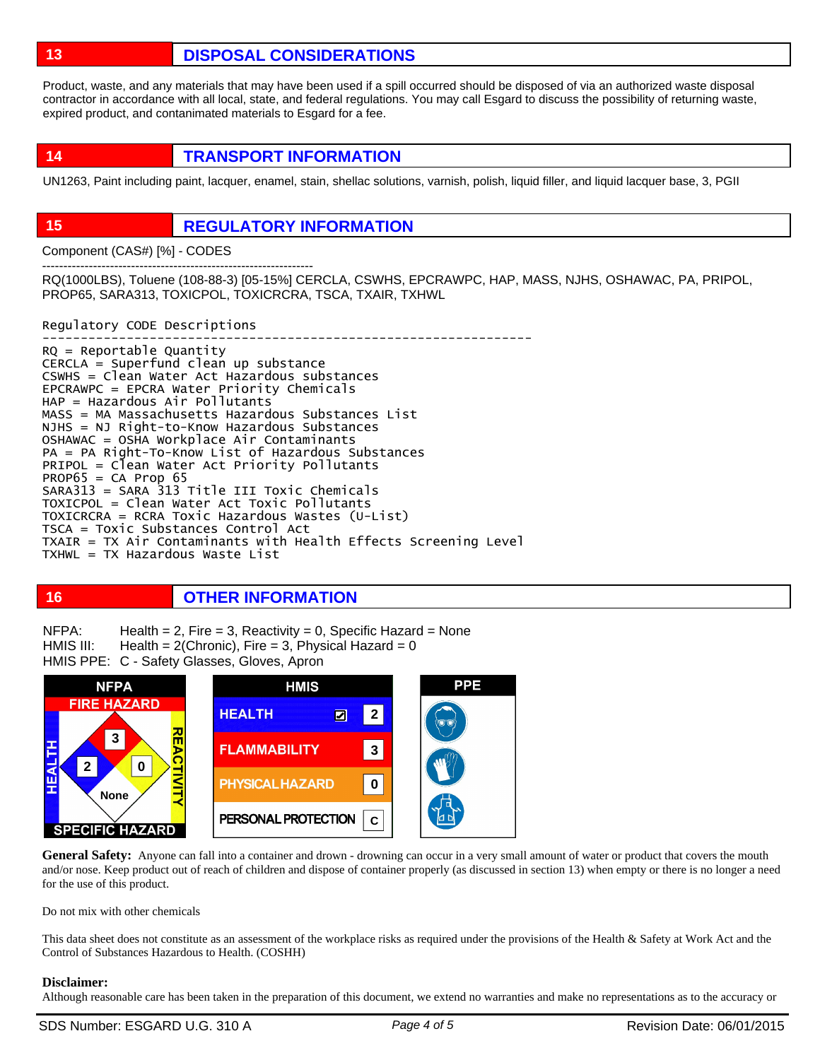**13 DISPOSAL CONSIDERATIONS**

Product, waste, and any materials that may have been used if a spill occurred should be disposed of via an authorized waste disposal contractor in accordance with all local, state, and federal regulations. You may call Esgard to discuss the possibility of returning waste, expired product, and contanimated materials to Esgard for a fee.

**14 TRANSPORT INFORMATION**

UN1263, Paint including paint, lacquer, enamel, stain, shellac solutions, varnish, polish, liquid filler, and liquid lacquer base, 3, PGII

# **15 REGULATORY INFORMATION**

Component (CAS#) [%] - CODES

---------------------------------------------------------------- RQ(1000LBS), Toluene (108-88-3) [05-15%] CERCLA, CSWHS, EPCRAWPC, HAP, MASS, NJHS, OSHAWAC, PA, PRIPOL, PROP65, SARA313, TOXICPOL, TOXICRCRA, TSCA, TXAIR, TXHWL

Regulatory CODE Descriptions

---------------------------------------------------------------- RQ = Reportable Quantity CERCLA = Superfund clean up substance CSWHS = Clean Water Act Hazardous substances EPCRAWPC = EPCRA Water Priority Chemicals HAP = Hazardous Air Pollutants MASS = MA Massachusetts Hazardous Substances List NJHS = NJ Right-to-Know Hazardous Substances OSHAWAC = OSHA Workplace Air Contaminants PA = PA Right-To-Know List of Hazardous Substances PRIPOL = Clean Water Act Priority Pollutants  $PROP65 = CA Prop65$ SARA313 = SARA 313 Title III Toxic Chemicals TOXICPOL = Clean Water Act Toxic Pollutants TOXICRCRA = RCRA Toxic Hazardous Wastes (U-List) TSCA = Toxic Substances Control Act TXAIR = TX Air Contaminants with Health Effects Screening Level TXHWL = TX Hazardous Waste List

# **16 OTHER INFORMATION**

Health  $= 2$ , Fire  $= 3$ , Reactivity  $= 0$ , Specific Hazard  $=$  None Health =  $2$ (Chronic), Fire = 3, Physical Hazard = 0 HMIS PPE: C - Safety Glasses, Gloves, Apron NFPA: HMIS III:



General Safety: Anyone can fall into a container and drown - drowning can occur in a very small amount of water or product that covers the mouth and/or nose. Keep product out of reach of children and dispose of container properly (as discussed in section 13) when empty or there is no longer a need for the use of this product.

Do not mix with other chemicals

This data sheet does not constitute as an assessment of the workplace risks as required under the provisions of the Health & Safety at Work Act and the Control of Substances Hazardous to Health. (COSHH)

## **Disclaimer:**

Although reasonable care has been taken in the preparation of this document, we extend no warranties and make no representations as to the accuracy or